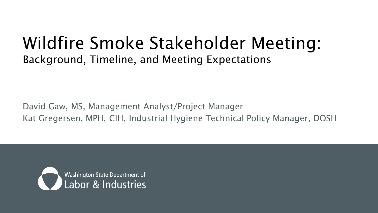#### Wildfire Smoke Stakeholder Meeting: Background, Timeline, and Meeting Expectations

David Gaw, MS, Management Analyst/Project Manager Kat Gregersen, MPH, CIH, Industrial Hygiene Technical Policy Manager, DOSH

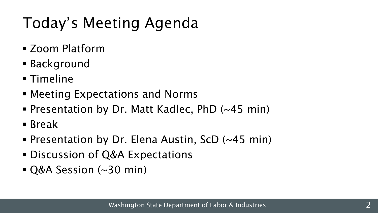# Today's Meeting Agenda

- Zoom Platform
- Background
- Timeline
- Meeting Expectations and Norms
- Presentation by Dr. Matt Kadlec, PhD (~45 min)
- Break
- **Presentation by Dr. Elena Austin, ScD (~45 min)**
- Discussion of Q&A Expectations
- Q&A Session (~30 min)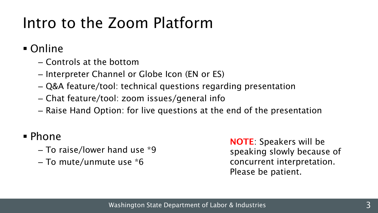#### Intro to the Zoom Platform

Online

- ‒ Controls at the bottom
- ‒ Interpreter Channel or Globe Icon (EN or ES)
- ‒ Q&A feature/tool: technical questions regarding presentation
- ‒ Chat feature/tool: zoom issues/general info
- ‒ Raise Hand Option: for live questions at the end of the presentation

#### Phone

- ‒ To raise/lower hand use \*9
- ‒ To mute/unmute use \*6

NOTE: Speakers will be speaking slowly because of concurrent interpretation. Please be patient.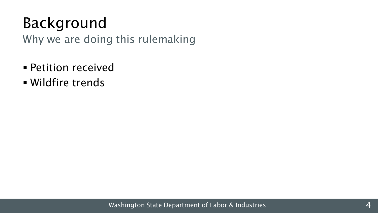#### Background

Why we are doing this rulemaking

- **Petition received**
- Wildfire trends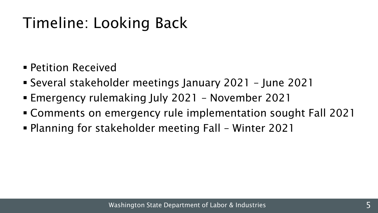# Timeline: Looking Back

- Petition Received
- Several stakeholder meetings January 2021 June 2021
- Emergency rulemaking July 2021 November 2021
- Comments on emergency rule implementation sought Fall 2021
- Planning for stakeholder meeting Fall Winter 2021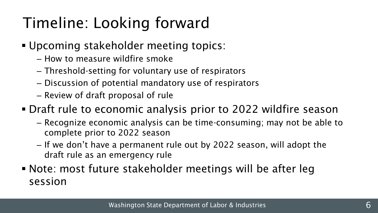# Timeline: Looking forward

- Upcoming stakeholder meeting topics:
	- ‒ How to measure wildfire smoke
	- ‒ Threshold-setting for voluntary use of respirators
	- ‒ Discussion of potential mandatory use of respirators
	- ‒ Review of draft proposal of rule
- Draft rule to economic analysis prior to 2022 wildfire season
	- ‒ Recognize economic analysis can be time-consuming; may not be able to complete prior to 2022 season
	- ‒ If we don't have a permanent rule out by 2022 season, will adopt the draft rule as an emergency rule
- Note: most future stakeholder meetings will be after leg session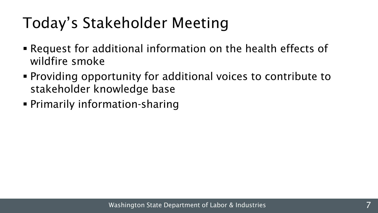#### Today's Stakeholder Meeting

- Request for additional information on the health effects of wildfire smoke
- Providing opportunity for additional voices to contribute to stakeholder knowledge base
- Primarily information-sharing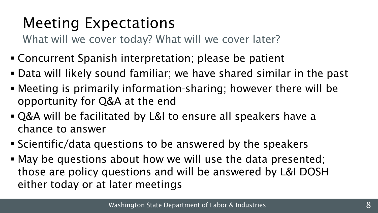#### Meeting Expectations

What will we cover today? What will we cover later?

- Concurrent Spanish interpretation; please be patient
- Data will likely sound familiar; we have shared similar in the past
- Meeting is primarily information-sharing; however there will be opportunity for Q&A at the end
- Q&A will be facilitated by L&I to ensure all speakers have a chance to answer
- Scientific/data questions to be answered by the speakers
- May be questions about how we will use the data presented; those are policy questions and will be answered by L&I DOSH either today or at later meetings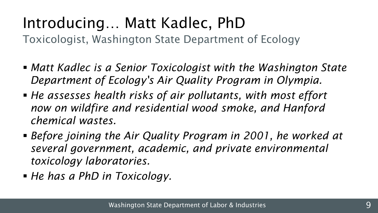#### Introducing… Matt Kadlec, PhD

Toxicologist, Washington State Department of Ecology

- *Matt Kadlec is a Senior Toxicologist with the Washington State Department of Ecology's Air Quality Program in Olympia.*
- *He assesses health risks of air pollutants, with most effort now on wildfire and residential wood smoke, and Hanford chemical wastes.*
- *Before joining the Air Quality Program in 2001, he worked at several government, academic, and private environmental toxicology laboratories.*
- *He has a PhD in Toxicology.*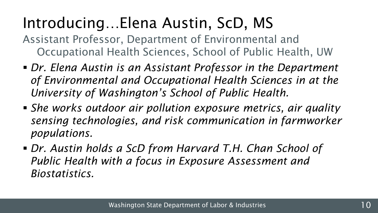# Introducing…Elena Austin, ScD, MS

- Assistant Professor, Department of Environmental and Occupational Health Sciences, School of Public Health, UW
- *Dr. Elena Austin is an Assistant Professor in the Department of Environmental and Occupational Health Sciences in at the University of Washington's School of Public Health.*
- *She works outdoor air pollution exposure metrics, air quality sensing technologies, and risk communication in farmworker populations.*
- *Dr. Austin holds a ScD from Harvard T.H. Chan School of Public Health with a focus in Exposure Assessment and Biostatistics.*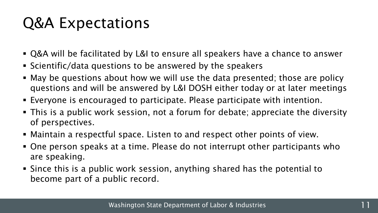#### Q&A Expectations

- Q&A will be facilitated by L&I to ensure all speakers have a chance to answer
- Scientific/data questions to be answered by the speakers
- May be questions about how we will use the data presented; those are policy questions and will be answered by L&I DOSH either today or at later meetings
- Everyone is encouraged to participate. Please participate with intention.
- This is a public work session, not a forum for debate; appreciate the diversity of perspectives.
- Maintain a respectful space. Listen to and respect other points of view.
- One person speaks at a time. Please do not interrupt other participants who are speaking.
- Since this is a public work session, anything shared has the potential to become part of a public record.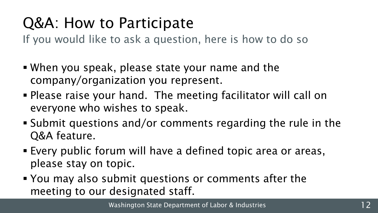# Q&A: How to Participate

If you would like to ask a question, here is how to do so

- When you speak, please state your name and the company/organization you represent.
- Please raise your hand. The meeting facilitator will call on everyone who wishes to speak.
- Submit questions and/or comments regarding the rule in the Q&A feature.
- Every public forum will have a defined topic area or areas, please stay on topic.
- You may also submit questions or comments after the meeting to our designated staff.